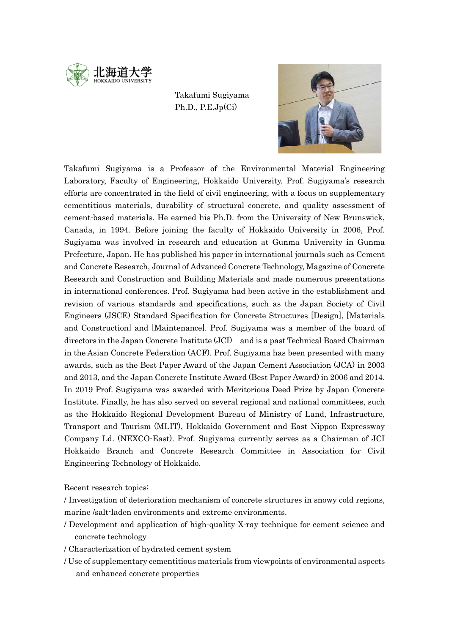

## Takafumi Sugiyama Ph.D., P.E.Jp(Ci)



Takafumi Sugiyama is a Professor of the Environmental Material Engineering Laboratory, Faculty of Engineering, Hokkaido University. Prof. Sugiyama's research efforts are concentrated in the field of civil engineering, with a focus on supplementary cementitious materials, durability of structural concrete, and quality assessment of cement-based materials. He earned his Ph.D. from the University of New Brunswick, Canada, in 1994. Before joining the faculty of Hokkaido University in 2006, Prof. Sugiyama was involved in research and education at Gunma University in Gunma Prefecture, Japan. He has published his paper in international journals such as Cement and Concrete Research, Journal of Advanced Concrete Technology, Magazine of Concrete Research and Construction and Building Materials and made numerous presentations in international conferences. Prof. Sugiyama had been active in the establishment and revision of various standards and specifications, such as the Japan Society of Civil Engineers (JSCE) Standard Specification for Concrete Structures [Design], [Materials and Construction] and [Maintenance]. Prof. Sugiyama was a member of the board of directors in the Japan Concrete Institute (JCI) and is a past Technical Board Chairman in the Asian Concrete Federation (ACF). Prof. Sugiyama has been presented with many awards, such as the Best Paper Award of the Japan Cement Association (JCA) in 2003 and 2013, and the Japan Concrete Institute Award (Best Paper Award) in 2006 and 2014. In 2019 Prof. Sugiyama was awarded with Meritorious Deed Prize by Japan Concrete Institute. Finally, he has also served on several regional and national committees, such as the Hokkaido Regional Development Bureau of Ministry of Land, Infrastructure, Transport and Tourism (MLIT), Hokkaido Government and East Nippon Expressway Company Ld. (NEXCO-East). Prof. Sugiyama currently serves as a Chairman of JCI Hokkaido Branch and Concrete Research Committee in Association for Civil Engineering Technology of Hokkaido.

Recent research topics:

- / Investigation of deterioration mechanism of concrete structures in snowy cold regions, marine /salt-laden environments and extreme environments.
- / Development and application of high-quality X-ray technique for cement science and concrete technology
- / Characterization of hydrated cement system
- / Use of supplementary cementitious materials from viewpoints of environmental aspects and enhanced concrete properties